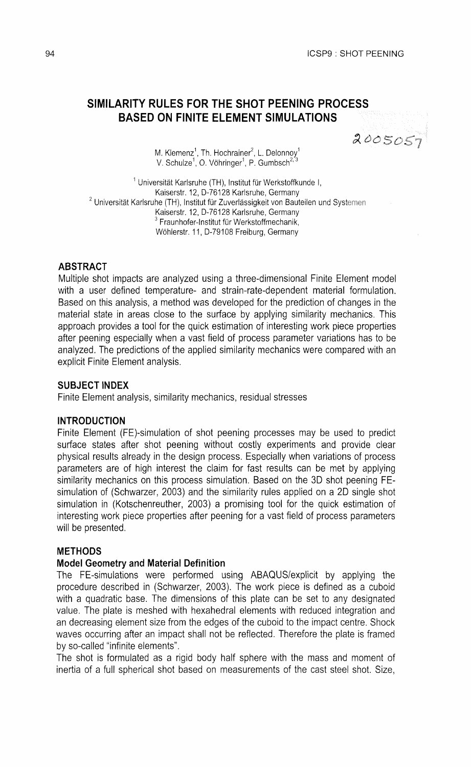# **SIMILARITY RULES FOR THE SHOT PEENING PROCESS BASED ON FINITE ELEMENT SIMULATIONS**

2005057

M. Klemenz<sup>1</sup>, Th. Hochrainer<sup>2</sup>, L. Delonnoy<sup>1</sup> V. Schulze<sup>1</sup>, O. Vöhringer<sup>1</sup>, P. Gumbsch<sup>2,</sup>

<sup>1</sup> Universität Karlsruhe (TH), Institut für Werkstoffkunde I, Kaiserstr. 12, D-76128 Karlsruhe, Germany  $2$  Universität Karlsruhe (TH), Institut für Zuverlässigkeit von Bauteilen und Systemen Kaiserstr. 12, D-76128 Karlsruhe, Germany  $3$  Fraunhofer-Institut für Werkstoffmechanik, Wöhlerstr, 11, D-79108 Freiburg, Germany

## **ABSTRACT**

Multiple shot impacts are analyzed using a three-dimensional Finite Element model with a user defined temperature- and strain-rate-dependent material formulation. Based on this analysis, a method was developed for the prediction of changes in the material state in areas close to the surface by applying similarity mechanics. This approach provides a tool for the quick estimation of interesting work piece properties after peening especially when a vast field of process parameter variations has to be analyzed. The predictions of the applied similarity mechanics were compared with an explicit Finite Element analysis.

### **SUBJECT INDEX**

Finite Element analysis, similarity mechanics, residual stresses

# **INTRODUCTION**

Finite Element (FE)-simulation of shot peening processes may be used to predict surface states after shot peening without costly experiments and provide clear physical results already in the design process. Especially when variations of process parameters are of high interest the claim for fast results can be met by applying similarity mechanics on this process simulation. Based on the 3D shot peening FEsimulation of (Schwarzer, 2003) and the similarity rules applied on a 2D single shot simulation in (Kotschenreuther, 2003) a promising tool for the quick estimation of interesting work piece properties after peening for a vast field of process parameters will be presented.

# **METHODS**

### **Model Geometry and Material Definition**

The FE-simulations were performed using ABAQUSlexplicit by applying the procedure described in (Schwarzer, 2003). The work piece is defined as a cuboid with a quadratic base. The dimensions of this plate can be set to any designated value. The plate is meshed with hexahedral elements with reduced integration and an decreasing element size from the edges of the cuboid to the impact centre. Shock waves occurring after an impact shall not be reflected. Therefore the plate is framed by so-called "infinite elements".

The shot is formulated as a rigid body half sphere with the mass and moment of inertia of a full spherical shot based on measurements of the cast steel shot. Size,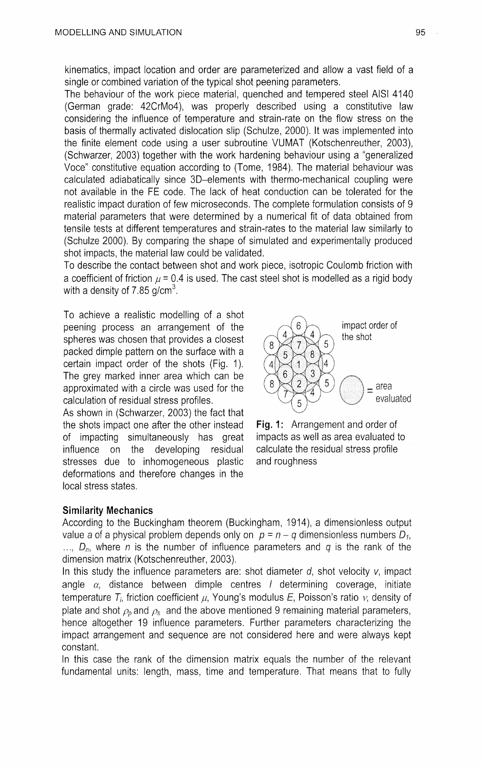kinematics, impact location and order are parameterized and allow a vast field of a single or combined variation of the typical shot peening parameters.

The behaviour of the work piece material, quenched and tempered steel AlSl 4140 (German grade: 42CrMo4), was properly described using a constitutive law considering the influence of temperature and strain-rate on the flow stress on the basis of thermally activated dislocation slip (Schulze, 2000). It was implemented into the finite element code using a user subroutine VUMAT (Kotschenreuther, 2003), (Schwarzer, 2003) together with the work hardening behaviour using a "generalized Voce" constitutive equation according to (Tome, 1984). The material behaviour was calculated adiabatically since 3D-elements with thermo-mechanical coupling were not available in the FE code. The lack of heat conduction can be tolerated for the realistic impact duration of few microseconds. The complete formulation consists of 9 material parameters that were determined by a numerical fit of data obtained from tensile tests at different temperatures and strain-rates to the material law similarly to (Schulze 2000). By comparing the shape of simulated and experimentally produced shot impacts, the material law could be validated.

To describe the contact between shot and work piece, isotropic Coulomb friction with a coefficient of friction  $\mu$  = 0.4 is used. The cast steel shot is modelled as a rigid body with a density of 7.85  $q/cm<sup>3</sup>$ .

To achieve a realistic modelling of a shot peening process an arrangement of the spheres was chosen that provides a closest packed dimple pattern on the surface with a certain impact order of the shots (Fig. 1). The grey marked inner area which can be approximated with a circle was used for the calculation of residual stress profiles.

As shown in (Schwarzer, 2003) the fact that the shots impact one after the other instead **Fig.** 1: Arrangement and order of of impacting simultaneously has great impacts as well as area evaluated to influence on the developing residual calculate the residual stress profile stresses due to inhomogeneous plastic and roughness deformations and therefore changes in the local stress states.





### Similarity **Mechanics**

According to the Buckingham theorem (Buckingham, 1914), a dimensionless output value a of a physical problem depends only on  $p = n - q$  dimensionless numbers  $D_1$ ,  $\ldots$ ,  $D_n$ , where n is the number of influence parameters and q is the rank of the dimension matrix (Kotschenreuther, 2003).

In this study the influence parameters are: shot diameter  $d$ , shot velocity  $v$ , impact angle  $\alpha$ , distance between dimple centres *l* determining coverage, initiate temperature  $T<sub>i</sub>$ , friction coefficient  $\mu$ , Young's modulus E, Poisson's ratio  $\nu$ , density of plate and shot  $\rho_p$  and  $\rho_s$  and the above mentioned 9 remaining material parameters, hence altogether 19 influence parameters. Further parameters characterizing the impact arrangement and sequence are not considered here and were always kept constant.

In this case the rank of the dimension matrix equals the number of the relevant fundamental units: length, mass, time and temperature. That means that to fully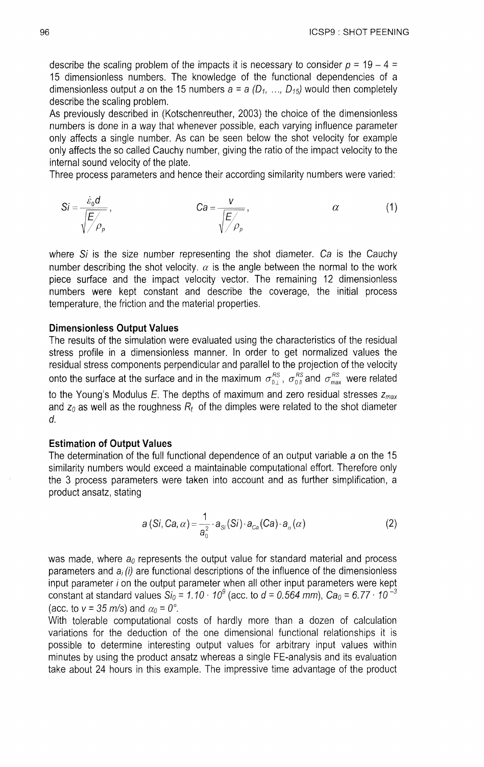describe the scaling problem of the impacts it is necessary to consider  $p = 19 - 4 =$ 15 dimensionless numbers. The knowledge of the functional dependencies of a dimensionless output a on the 15 numbers  $a = a (D_1, ..., D_{15})$  would then completely describe the scaling problem.

As previously described in (Kotschenreuther, 2003) the choice of the dimensionless numbers is done in a way that whenever possible, each varying influence parameter only affects a single number. As can be seen below the shot velocity for example only affects the so called Cauchy number, giving the ratio of the impact velocity to the internal sound velocity of the plate.

Three process parameters and hence their according similarity numbers were varied:

$$
Si = \frac{\dot{\varepsilon}_0 d}{\sqrt{\frac{E}{\rho_\rho}}}, \qquad Ca = \frac{V}{\sqrt{\frac{E}{\rho_\rho}}}, \qquad \alpha \qquad (1)
$$

where  $Si$  is the size number representing the shot diameter. Ca is the Cauchy number describing the shot velocity,  $\alpha$  is the angle between the normal to the work piece surface and the impact velocity vector. The remaining 12 dimensionless numbers were kept constant and describe the coverage, the initial process temperature, the friction and the material properties.

#### **Dimensionless Output Values**

The results of the simulation were evaluated using the characteristics of the residual stress profile in a dimensionless manner. In order to get normalized values the residual stress components perpendicular and parallel to the projection of the velocity onto the surface at the surface and in the maximum  $\sigma_{0}^{RS}$ ,  $\sigma_{0}^{RS}$  and  $\sigma_{\text{max}}^{RS}$  were related to the Young's Modulus  $E$ . The depths of maximum and zero residual stresses  $z_{max}$ and  $z_0$  as well as the roughness  $R_t$  of the dimples were related to the shot diameter d.

## **Estimation of Output Values**

The determination of the full functional dependence of an output variable a on the 15 similarity numbers would exceed a maintainable computational effort. Therefore only the 3 process parameters were taken into account and as further simplification, a product ansatz, stating

$$
a(Si, Ca, \alpha) = \frac{1}{a_0^2} \cdot a_{Si}(Si) \cdot a_{Ca}(Ca) \cdot a_{\alpha}(\alpha)
$$
 (2)

was made, where  $a_0$  represents the output value for standard material and process parameters and  $a_i(i)$  are functional descriptions of the influence of the dimensionless input parameter i on the output parameter when all other input parameters were kept constant at standard values Si<sub>0</sub> = 1.10 · 10<sup>9</sup> (acc. to d = 0.564 mm), Ca<sub>0</sub> = 6.77 · 10<sup>-3</sup> (acc. to  $v = 35$  m/s) and  $\alpha_0 = 0^\circ$ .

With tolerable computational costs of hardly more than a dozen of calculation variations for the deduction of the one dimensional functional relationships it is possible to determine interesting output values for arbitrary input values within minutes by using the product ansatz whereas a single FE-analysis and its evaluation take about 24 hours in this example. The impressive time advantage of the product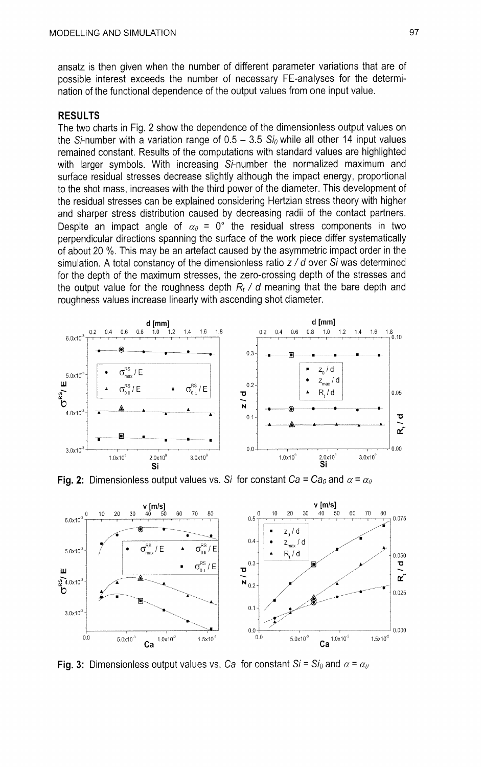ansatz is then given when the number of different parameter variations that are of possible interest exceeds the number of necessary FE-analyses for the determination of the functional dependence of the output values from one input value.

## RESULTS

The two charts in Fig. 2 show the dependence of the dimensionless output values on the Si-number with a variation range of  $0.5 - 3.5 Si_0$  while all other 14 input values remained constant. Results of the computations with standard values are highlighted with larger symbols. With increasing Si-number the normalized maximum and surface residual stresses decrease slightly although the impact energy, proportional to the shot mass, increases with the third power of the diameter. This development of the residual stresses can be explained considering Hertzian stress theory with higher and sharper stress distribution caused by decreasing radii of the contact partners. Despite an impact angle of  $\alpha_{0} = 0^{\circ}$  the residual stress components in two perpendicular directions spanning the surface of the work piece differ systematically of about 20 %. This may be an artefact caused by the asymmetric impact order in the simulation. A total constancy of the dimensionless ratio  $z/d$  over Si was determined for the depth of the maximum stresses, the zero-crossing depth of the stresses and the output value for the roughness depth  $R_t$  / d meaning that the bare depth and roughness values increase linearly with ascending shot diameter.



**Fig. 2:** Dimensionless output values vs. Si for constant  $Ca = Ca_0$  and  $\alpha = \alpha_0$ 



**Fig. 3:** Dimensionless output values vs. Ca for constant  $Si = Si_0$  and  $\alpha = \alpha_0$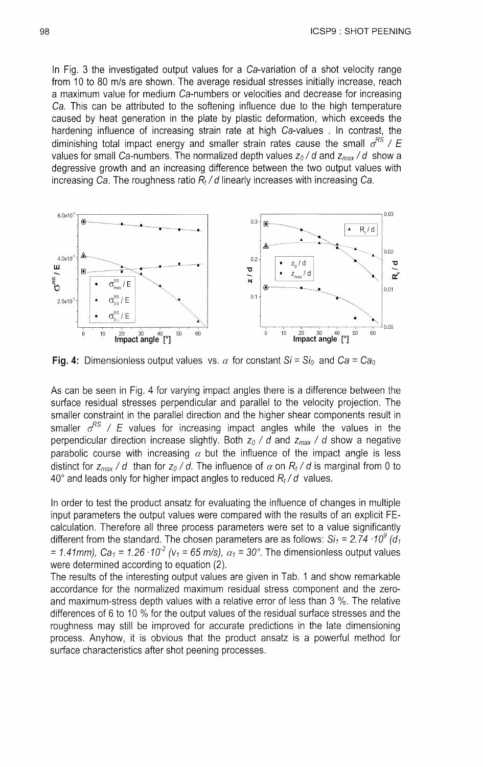In Fig. 3 the investigated output values for a Ca-variation of a shot velocity range from 10 to 80 mls are shown. The average residual stresses initially increase, reach a maximum value for medium Ca-numbers or velocities and decrease for increasing Ca. This can be attributed to the softening influence due to the high temperature caused by heat generation in the plate by plastic deformation, which exceeds the hardening influence of increasing strain rate at high Ca-values . In contrast, the diminishing total impact energy and smaller strain rates cause the small  $\sigma^{RS}$  / E values for small Ca-numbers. The normalized depth values  $z_0/d$  and  $z_{\text{max}}/d$  show a degressive growth and an increasing difference between the two output values with increasing Ca. The roughness ratio  $R_t/d$  linearly increases with increasing Ca.



**Fig. 4:** Dimensionless output values vs.  $\alpha$  for constant  $Si = Si_0$  and  $Ca = Ca_0$ 

As can be seen in Fig. 4 for varying impact angles there is a difference between the surface residual stresses perpendicular and parallel to the velocity projection. The smaller constraint in the parallel direction and the higher shear components result in smaller  $\sigma^{RS}$  / E values for increasing impact angles while the values in the perpendicular direction increase slightly. Both  $z_0$  / *d* and  $z_{max}$  / *d* show a negative parabolic course with increasing  $\alpha$  but the influence of the impact angle is less distinct for  $z_{max}$  / *d* than for  $z_0$  / *d*. The influence of  $\alpha$  on  $R_t$  / *d* is marginal from 0 to 40" and leads only for higher impact angles to reduced *Rt/d* values.

In order to test the product ansatz for evaluating the influence of changes in multiple input parameters the output values were compared with the results of an explicit FEcalculation. Therefore all three process parameters were set to a value significantly different from the standard. The chosen parameters are as follows:  $Si_1 = 2.74 \cdot 10^9$  (d<sub>1</sub> = 1.41mm),  $Ca_1$  = 1.26  $\cdot$  10<sup>-2</sup> ( $v_1$  = 65 m/s),  $\alpha_1$  = 30°. The dimensionless output values were determined according to equation (2).

The results of the interesting output values are given in Tab. 1 and show remarkable accordance for the normalized maximum residual stress component and the zeroand maximum-stress depth values with a relative error of less than 3 %. The relative differences of 6 to 10 % for the output values of the residual surface stresses and the roughness may still be improved for accurate predictions in the late dimensioning process. Anyhow, it is obvious that the product ansatz is a powerful method for surface characteristics after shot peening processes.